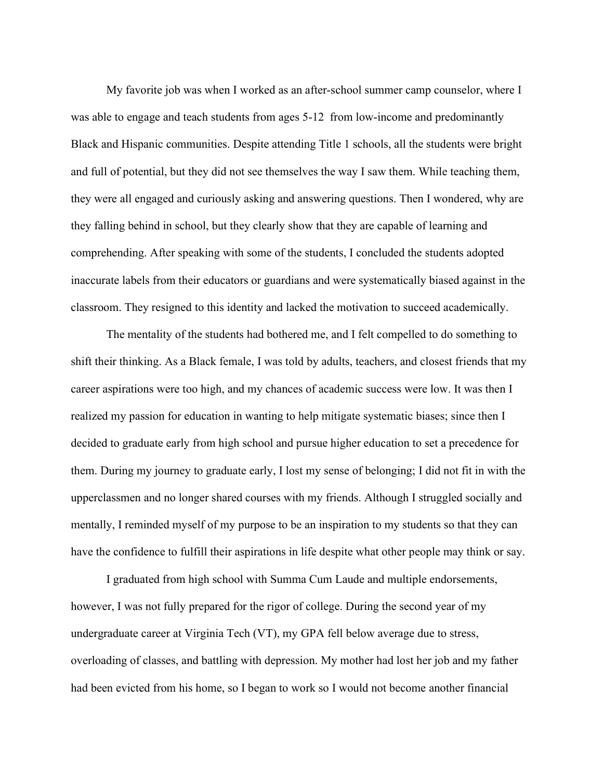My favorite job was when I worked as an after-school summer camp counselor, where I was able to engage and teach students from ages 5-12 from low-income and predominantly Black and Hispanic communities. Despite attending Title 1 schools, all the students were bright and full of potential, but they did not see themselves the way I saw them. While teaching them, they were all engaged and curiously asking and answering questions. Then I wondered, why are they falling behind in school, but they clearly show that they are capable of learning and comprehending. After speaking with some of the students, I concluded the students adopted inaccurate labels from their educators or guardians and were systematically biased against in the classroom. They resigned to this identity and lacked the motivation to succeed academically.

 The mentality of the students had bothered me, and I felt compelled to do something to shift their thinking. As a Black female, I was told by adults, teachers, and closest friends that my career aspirations were too high, and my chances of academic success were low. It was then I realized my passion for education in wanting to help mitigate systematic biases; since then I decided to graduate early from high school and pursue higher education to set a precedence for them. During my journey to graduate early, I lost my sense of belonging; I did not fit in with the upperclassmen and no longer shared courses with my friends. Although I struggled socially and mentally, I reminded myself of my purpose to be an inspiration to my students so that they can have the confidence to fulfill their aspirations in life despite what other people may think or say.

 I graduated from high school with Summa Cum Laude and multiple endorsements, however, I was not fully prepared for the rigor of college. During the second year of my undergraduate career at Virginia Tech (VT), my GPA fell below average due to stress, overloading of classes, and battling with depression. My mother had lost her job and my father had been evicted from his home, so I began to work so I would not become another financial